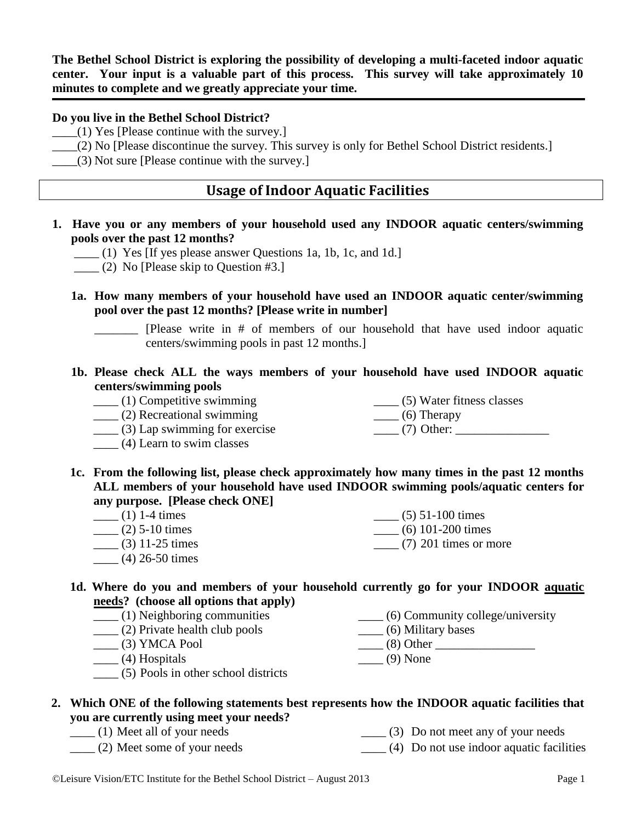**The Bethel School District is exploring the possibility of developing a multi-faceted indoor aquatic center. Your input is a valuable part of this process. This survey will take approximately 10 minutes to complete and we greatly appreciate your time.** 

#### **Do you live in the Bethel School District?**

- $(1)$  Yes [Please continue with the survey.]
- \_\_\_\_(2) No [Please discontinue the survey. This survey is only for Bethel School District residents.]
- $(3)$  Not sure [Please continue with the survey.]

### **Usage of Indoor Aquatic Facilities**

- **1. Have you or any members of your household used any INDOOR aquatic centers/swimming pools over the past 12 months?** 
	- \_\_\_\_ (1) Yes [If yes please answer Questions 1a, 1b, 1c, and 1d.]
	- $\frac{1}{2}$  (2) No [Please skip to Question #3.]
	- **1a. How many members of your household have used an INDOOR aquatic center/swimming pool over the past 12 months? [Please write in number]**

\_\_\_\_\_\_\_ [Please write in # of members of our household that have used indoor aquatic centers/swimming pools in past 12 months.]

- **1b. Please check ALL the ways members of your household have used INDOOR aquatic centers/swimming pools**
	- \_\_\_\_ (1) Competitive swimming
	- \_\_\_\_ (2) Recreational swimming
- \_\_\_\_ (5) Water fitness classes  $\qquad$  (6) Therapy  $\frac{1}{2}$  (7) Other:
- $\frac{1}{2}$  (2) Recreational swimming<br>(3) Lap swimming for exercise
- \_\_\_\_ (4) Learn to swim classes
- **1c. From the following list, please check approximately how many times in the past 12 months ALL members of your household have used INDOOR swimming pools/aquatic centers for any purpose. [Please check ONE]**
	- $\frac{1}{1-4 \text{ times}}$  $\frac{1}{2}$  (2) 5-10 times  $\frac{1}{2}$  (3) 11-25 times  $(5)$  51-100 times \_\_\_\_ (6) 101-200 times  $(7)$  201 times or more
	- \_\_\_\_ (4) 26-50 times
- **1d. Where do you and members of your household currently go for your INDOOR aquatic needs? (choose all options that apply)**
	- \_\_\_\_ (1) Neighboring communities \_\_\_\_ (2) Private health club pools  $\qquad$  (3) YMCA Pool \_\_\_\_ (4) Hospitals \_\_\_\_ (6) Community college/university \_\_\_\_ (6) Military bases  $\frac{1}{2}$  (8) Other  $\frac{1}{2}$  $\qquad$  (9) None
	- \_\_\_\_ (5) Pools in other school districts

### **2. Which ONE of the following statements best represents how the INDOOR aquatic facilities that you are currently using meet your needs?**

- \_\_\_\_ (1) Meet all of your needs \_\_\_\_ (3) Do not meet any of your needs
- \_\_\_\_ (2) Meet some of your needs  $\frac{1}{2}$  (4) Do not use indoor aquatic facilities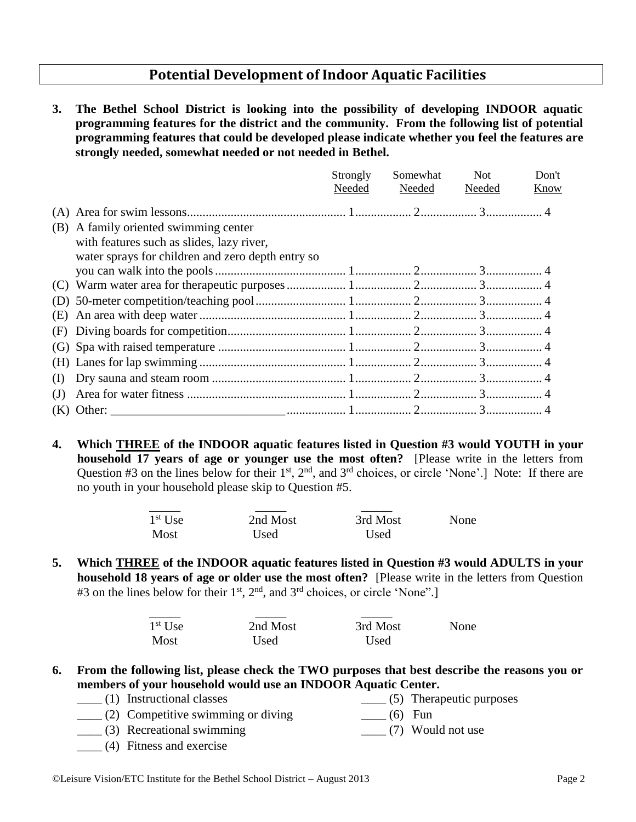## **Potential Development of Indoor Aquatic Facilities**

**3. The Bethel School District is looking into the possibility of developing INDOOR aquatic programming features for the district and the community. From the following list of potential programming features that could be developed please indicate whether you feel the features are strongly needed, somewhat needed or not needed in Bethel.**

|     |                                                   | Strongly | Somewhat | <b>Not</b> | Don't |
|-----|---------------------------------------------------|----------|----------|------------|-------|
|     |                                                   | Needed   | Needed   | Needed     | Know  |
|     |                                                   |          |          |            |       |
|     | (B) A family oriented swimming center             |          |          |            |       |
|     | with features such as slides, lazy river,         |          |          |            |       |
|     | water sprays for children and zero depth entry so |          |          |            |       |
|     |                                                   |          |          |            |       |
|     |                                                   |          |          |            |       |
|     |                                                   |          |          |            |       |
|     |                                                   |          |          |            |       |
|     |                                                   |          |          |            |       |
|     |                                                   |          |          |            |       |
|     |                                                   |          |          |            |       |
| (I) |                                                   |          |          |            |       |
| (J) |                                                   |          |          |            |       |
|     |                                                   |          |          |            |       |

**4. Which THREE of the INDOOR aquatic features listed in Question #3 would YOUTH in your household 17 years of age or younger use the most often?** [Please write in the letters from Question  $#3$  on the lines below for their  $1<sup>st</sup>$ ,  $2<sup>nd</sup>$ , and  $3<sup>rd</sup>$  choices, or circle 'None'.] Note: If there are no youth in your household please skip to Question #5.

| $1st$ Use | 2nd Most | 3rd Most | None |
|-----------|----------|----------|------|
| Most      | Used     | Used     |      |

**5. Which THREE of the INDOOR aquatic features listed in Question #3 would ADULTS in your household 18 years of age or older use the most often?** [Please write in the letters from Question #3 on the lines below for their  $1<sup>st</sup>$ ,  $2<sup>nd</sup>$ , and  $3<sup>rd</sup>$  choices, or circle 'None".]

| $1st$ Use | 2nd Most | 3rd Most | None |
|-----------|----------|----------|------|
| Most      | Used     | Used     |      |

- **6. From the following list, please check the TWO purposes that best describe the reasons you or members of your household would use an INDOOR Aquatic Center.** 
	- \_\_\_\_ (1) Instructional classes  $\frac{1}{1}$  (5) Therapeutic purposes
	- $\frac{1}{2}$  (2) Competitive swimming or diving  $\frac{1}{\sqrt{1-\frac{1}{c}}}$  (6) Fun
	- \_\_\_\_ (3) Recreational swimming \_\_\_\_ (7) Would not use
	- \_\_\_\_ (4) Fitness and exercise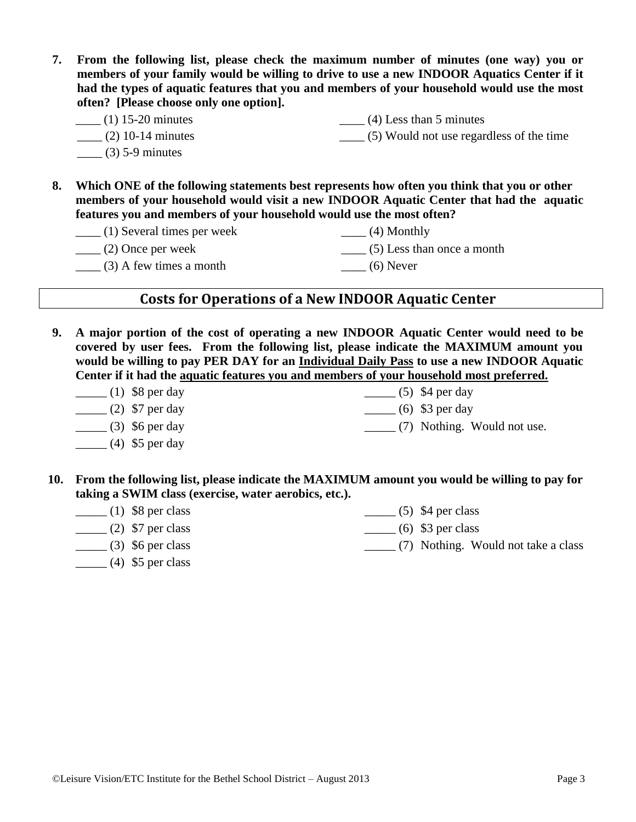- **7. From the following list, please check the maximum number of minutes (one way) you or members of your family would be willing to drive to use a new INDOOR Aquatics Center if it had the types of aquatic features that you and members of your household would use the most often? [Please choose only one option].**
	- \_\_\_\_ (1) 15-20 minutes  $(4)$  Less than 5 minutes \_\_\_\_ (5) Would not use regardless of the time
		- $\frac{1}{2}$  (2) 10-14 minutes
		- $(3)$  5-9 minutes
- **8. Which ONE of the following statements best represents how often you think that you or other**
	- **members of your household would visit a new INDOOR Aquatic Center that had the aquatic features you and members of your household would use the most often?** 
		- \_\_\_\_ (1) Several times per week  $\frac{1}{2}$  (2) Once per week  $\_\_$ (4) Monthly \_\_\_\_ (5) Less than once a month

 $\frac{1}{2}$  (3) A few times a month

- 
- $\frac{1}{\sqrt{2}}$  (6) Never

# **Costs for Operations of a New INDOOR Aquatic Center**

- **9. A major portion of the cost of operating a new INDOOR Aquatic Center would need to be covered by user fees. From the following list, please indicate the MAXIMUM amount you would be willing to pay PER DAY for an Individual Daily Pass to use a new INDOOR Aquatic Center if it had the aquatic features you and members of your household most preferred.**
	- $\frac{1}{1}$  (1) \$8 per day  $\frac{1}{2}$  (2) \$7 per day  $\frac{1}{(3)}$  \$6 per day  $\frac{1}{2}$  (4) \$5 per day  $\frac{1}{\sqrt{5}}$  (5) \$4 per day  $\frac{1}{6}$  (6) \$3 per day \_\_\_\_\_ (7) Nothing. Would not use.
- **10. From the following list, please indicate the MAXIMUM amount you would be willing to pay for taking a SWIM class (exercise, water aerobics, etc.).**
	- $\frac{1}{1}$  (1) \$8 per class  $\frac{1}{2}$  (2) \$7 per class  $\frac{1}{(3)}$  \$6 per class  $\frac{1}{2}$  (4) \$5 per class  $\frac{1}{(5)}$  \$4 per class  $\frac{1}{6}$  (6) \$3 per class \_\_\_\_\_ (7) Nothing. Would not take a class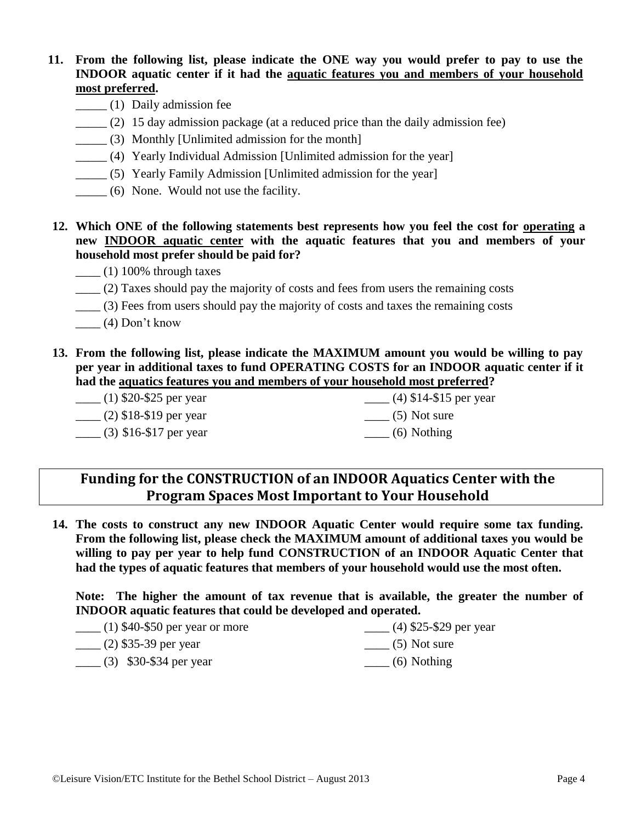### **11. From the following list, please indicate the ONE way you would prefer to pay to use the INDOOR aquatic center if it had the aquatic features you and members of your household most preferred.**

- \_\_\_\_\_ (1) Daily admission fee
- \_\_\_\_\_ (2) 15 day admission package (at a reduced price than the daily admission fee)
- \_\_\_\_\_ (3) Monthly [Unlimited admission for the month]
- \_\_\_\_\_ (4) Yearly Individual Admission [Unlimited admission for the year]
- \_\_\_\_\_ (5) Yearly Family Admission [Unlimited admission for the year]
- \_\_\_\_\_ (6) None. Would not use the facility.
- **12. Which ONE of the following statements best represents how you feel the cost for operating a new INDOOR aquatic center with the aquatic features that you and members of your household most prefer should be paid for?**
	- $\frac{1}{100\%}$  through taxes
	- \_\_\_\_ (2) Taxes should pay the majority of costs and fees from users the remaining costs
	- \_\_\_\_ (3) Fees from users should pay the majority of costs and taxes the remaining costs
	- $\frac{1}{2}$  (4) Don't know
- **13. From the following list, please indicate the MAXIMUM amount you would be willing to pay per year in additional taxes to fund OPERATING COSTS for an INDOOR aquatic center if it had the aquatics features you and members of your household most preferred?**

| $\frac{1}{2}$ (1) \$20-\$25 per year | $(4)$ \$14-\$15 per year          |
|--------------------------------------|-----------------------------------|
| $\frac{1}{2}$ (2) \$18-\$19 per year | $\frac{1}{\sqrt{5}}$ (5) Not sure |
| $\frac{1}{2}$ (3) \$16-\$17 per year | $\frac{1}{1}$ (6) Nothing         |

## **Funding for the CONSTRUCTION of an INDOOR Aquatics Center with the Program Spaces Most Important to Your Household**

**14. The costs to construct any new INDOOR Aquatic Center would require some tax funding. From the following list, please check the MAXIMUM amount of additional taxes you would be willing to pay per year to help fund CONSTRUCTION of an INDOOR Aquatic Center that had the types of aquatic features that members of your household would use the most often.** 

**Note: The higher the amount of tax revenue that is available, the greater the number of INDOOR aquatic features that could be developed and operated.**

| $\frac{1}{2}$ (1) \$40-\$50 per year or more | $(4)$ \$25-\$29 per year          |
|----------------------------------------------|-----------------------------------|
| $\frac{1}{2}$ (2) \$35-39 per year           | $\frac{1}{\sqrt{5}}$ (5) Not sure |
| $\frac{1}{2}$ (3) \$30-\$34 per year         | $\frac{1}{1}$ (6) Nothing         |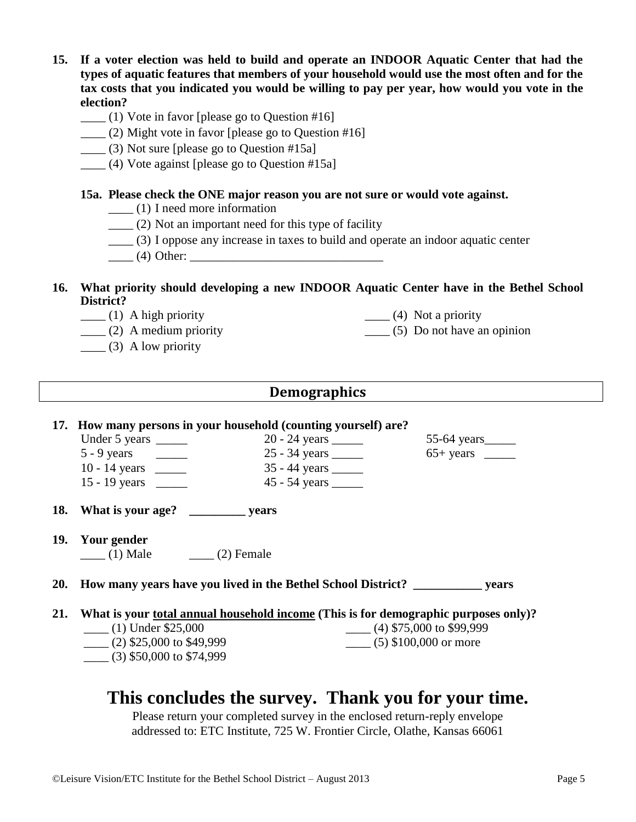- **15. If a voter election was held to build and operate an INDOOR Aquatic Center that had the types of aquatic features that members of your household would use the most often and for the tax costs that you indicated you would be willing to pay per year, how would you vote in the election?** 
	- $\frac{1}{10}$  Vote in favor [please go to Question #16]
	- \_\_\_\_ (2) Might vote in favor [please go to Question #16]
	- \_\_\_\_ (3) Not sure [please go to Question #15a]
	- \_\_\_\_ (4) Vote against [please go to Question #15a]

### **15a. Please check the ONE major reason you are not sure or would vote against.**

- $\frac{1}{\sqrt{1-\frac{1}{\sqrt{1-\frac{1}{\sqrt{1-\frac{1}{\sqrt{1-\frac{1}{\sqrt{1-\frac{1}{\sqrt{1-\frac{1}{\sqrt{1-\frac{1}{\sqrt{1-\frac{1}{\sqrt{1-\frac{1}{\sqrt{1-\frac{1}{\sqrt{1-\frac{1}{\sqrt{1-\frac{1}{\sqrt{1-\frac{1}{\sqrt{1-\frac{1}{\sqrt{1-\frac{1}{\sqrt{1-\frac{1}{\sqrt{1-\frac{1}{\sqrt{1-\frac{1}{\sqrt{1-\frac{1}{\sqrt{1-\frac{1}{\sqrt{1-\frac{1}{\sqrt{1-\frac{1}{\sqrt{1-\frac{1}{\sqrt{1-\frac{1$
- $\frac{1}{2}$  (2) Not an important need for this type of facility
- \_\_\_\_ (3) I oppose any increase in taxes to build and operate an indoor aquatic center
- \_\_\_\_ (4) Other: \_\_\_\_\_\_\_\_\_\_\_\_\_\_\_\_\_\_\_\_\_\_\_\_\_\_\_\_\_\_\_
- **16. What priority should developing a new INDOOR Aquatic Center have in the Bethel School District?**  $\frac{1}{\sqrt{4}}$  (4) Not a priority
	- $\frac{1}{1}$  (1) A high priority
	- $\frac{1}{2}$  (2) A medium priority
	- $\qquad$  (3) A low priority

### **Demographics**

# **17. How many persons in your household (counting yourself) are?** Under 5 years \_\_\_\_\_\_ 20 - 24 years \_\_\_\_\_ 55-64 years \_\_\_\_\_  $5 - 9$  years \_\_\_\_\_ 25 - 34 years \_\_\_\_ 65+ years \_\_\_\_ 10 - 14 years \_\_\_\_\_ 35 - 44 years \_\_\_\_\_ 15 - 19 years \_\_\_\_\_ 45 - 54 years \_\_\_\_\_ **18. What is your age? \_\_\_\_\_\_\_\_\_ years**

**19. Your gender**   $(1)$  Male  $(2)$  Female

**20. How many years have you lived in the Bethel School District? \_\_\_\_\_\_\_\_\_\_\_ years** 

- **21. What is your total annual household income (This is for demographic purposes only)?**
	- \_\_\_\_ (1) Under \$25,000 \_\_\_\_ (2) \$25,000 to \$49,999 \_\_\_\_ (3) \$50,000 to \$74,999

 $\frac{1}{2}$  (4) \$75,000 to \$99,999  $\frac{1}{(5)}$  \$100,000 or more

 $\frac{1}{\sqrt{5}}$  Do not have an opinion

# **This concludes the survey. Thank you for your time.**

Please return your completed survey in the enclosed return-reply envelope addressed to: ETC Institute, 725 W. Frontier Circle, Olathe, Kansas 66061